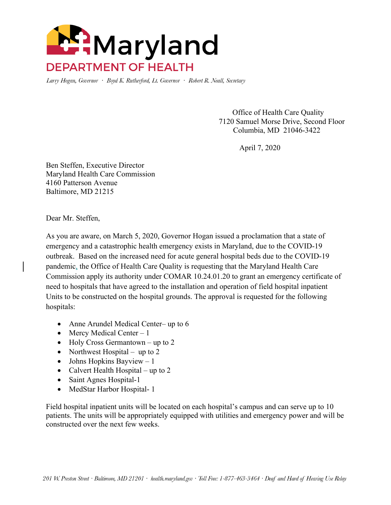

Larry Hogan, Governor · Boyd K. Rutherford, Lt. Governor · Robert R. Neall, Secretary

 Office of Health Care Quality 7120 Samuel Morse Drive, Second Floor Columbia, MD 21046-3422

April 7, 2020

Ben Steffen, Executive Director Maryland Health Care Commission 4160 Patterson Avenue Baltimore, MD 21215

Dear Mr. Steffen,

As you are aware, on March 5, 2020, Governor Hogan issued a proclamation that a state of emergency and a catastrophic health emergency exists in Maryland, due to the COVID-19 outbreak. Based on the increased need for acute general hospital beds due to the COVID-19 pandemic, the Office of Health Care Quality is requesting that the Maryland Health Care Commission apply its authority under COMAR 10.24.01.20 to grant an emergency certificate of need to hospitals that have agreed to the installation and operation of field hospital inpatient Units to be constructed on the hospital grounds. The approval is requested for the following hospitals:

- Anne Arundel Medical Center– up to 6
- Mercy Medical Center 1
- Holy Cross Germantown up to 2
- Northwest Hospital up to 2
- Johns Hopkins Bayview  $-1$
- Calvert Health Hospital up to 2
- Saint Agnes Hospital-1
- MedStar Harbor Hospital- 1

Field hospital inpatient units will be located on each hospital's campus and can serve up to 10 patients. The units will be appropriately equipped with utilities and emergency power and will be constructed over the next few weeks.